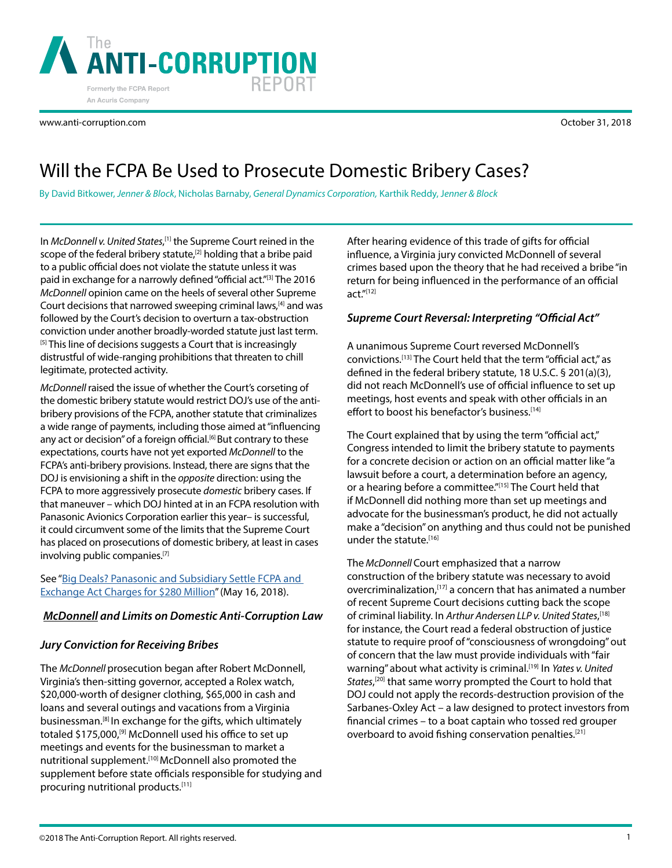October 31, 2018

# Will the FCPA Be Used to Prosecute Domestic Bribery Cases?

By David Bitkower, *Jenner & Block*, Nicholas Barnaby, *General Dynamics Corporation,* Karthik Reddy, J*enner & Block*

In *McDonnell v. United States*,<sup>[1]</sup> the Supreme Court reined in the scope of the federal bribery statute,<sup>[2]</sup> holding that a bribe paid to a public official does not violate the statute unless it was paid in exchange for a narrowly defined "official act."[3] The 2016 *McDonnell* opinion came on the heels of several other Supreme Court decisions that narrowed sweeping criminal laws,<sup>[4]</sup> and was followed by the Court's decision to overturn a tax-obstruction conviction under another broadly-worded statute just last term. <sup>[5]</sup> This line of decisions suggests a Court that is increasingly distrustful of wide-ranging prohibitions that threaten to chill legitimate, protected activity.

*McDonnell* raised the issue of whether the Court's corseting of the domestic bribery statute would restrict DOJ's use of the antibribery provisions of the FCPA, another statute that criminalizes a wide range of payments, including those aimed at "influencing any act or decision" of a foreign official.<sup>[6]</sup> But contrary to these expectations, courts have not yet exported *McDonnell* to the FCPA's anti-bribery provisions. Instead, there are signs that the DOJ is envisioning a shift in the *opposite* direction: using the FCPA to more aggressively prosecute *domestic* bribery cases. If that maneuver – which DOJ hinted at in an FCPA resolution with Panasonic Avionics Corporation earlier this year– is successful, it could circumvent some of the limits that the Supreme Court has placed on prosecutions of domestic bribery, at least in cases involving public companies.<sup>[7]</sup>

# See "Big Deals? Panasonic and Subsidiary Settle FCPA and [Exchange Act Charges for \\$280 Million"](https://www.anti-corruption.com/article/2776) (May 16, 2018).

# *McDonnell and Limits on Domestic Anti-Corruption Law*

# *Jury Conviction for Receiving Bribes*

The *McDonnell* prosecution began after Robert McDonnell, Virginia's then-sitting governor, accepted a Rolex watch, \$20,000-worth of designer clothing, \$65,000 in cash and loans and several outings and vacations from a Virginia businessman.[8] In exchange for the gifts, which ultimately totaled \$175,000,<sup>[9]</sup> McDonnell used his office to set up meetings and events for the businessman to market a nutritional supplement.[10] McDonnell also promoted the supplement before state officials responsible for studying and procuring nutritional products.[11]

After hearing evidence of this trade of gifts for official influence, a Virginia jury convicted McDonnell of several crimes based upon the theory that he had received a bribe "in return for being influenced in the performance of an official act."[12]

# *Supreme Court Reversal: Interpreting "Official Act"*

A unanimous Supreme Court reversed McDonnell's convictions.[13] The Court held that the term "official act," as defined in the federal bribery statute, 18 U.S.C. § 201(a)(3), did not reach McDonnell's use of official influence to set up meetings, host events and speak with other officials in an effort to boost his benefactor's business.<sup>[14]</sup>

The Court explained that by using the term "official act," Congress intended to limit the bribery statute to payments for a concrete decision or action on an official matter like "a lawsuit before a court, a determination before an agency, or a hearing before a committee."[15] The Court held that if McDonnell did nothing more than set up meetings and advocate for the businessman's product, he did not actually make a "decision" on anything and thus could not be punished under the statute.[16]

The *McDonnell* Court emphasized that a narrow construction of the bribery statute was necessary to avoid overcriminalization, [17] a concern that has animated a number of recent Supreme Court decisions cutting back the scope of criminal liability. In *Arthur Andersen LLP v. United States*, [18] for instance, the Court read a federal obstruction of justice statute to require proof of "consciousness of wrongdoing" out of concern that the law must provide individuals with "fair warning" about what activity is criminal.[19] In *Yates v. United States*, [20] that same worry prompted the Court to hold that DOJ could not apply the records-destruction provision of the Sarbanes-Oxley Act – a law designed to protect investors from financial crimes – to a boat captain who tossed red grouper overboard to avoid fishing conservation penalties.<sup>[21]</sup>



www.anti-corruption.com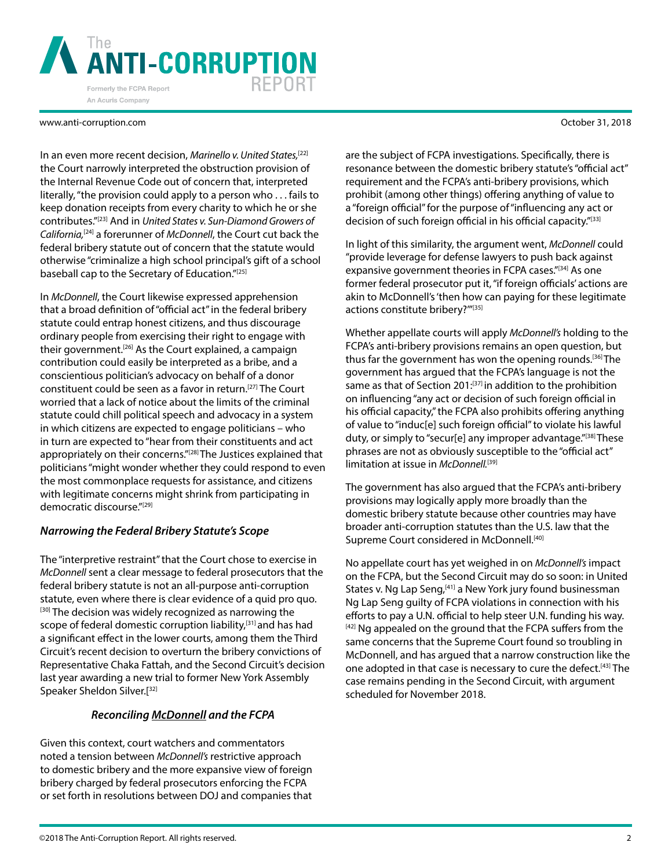

In an even more recent decision, *Marinello v. United States,*[22] the Court narrowly interpreted the obstruction provision of the Internal Revenue Code out of concern that, interpreted literally, "the provision could apply to a person who . . . fails to keep donation receipts from every charity to which he or she contributes."[23] And in *United States v. Sun-Diamond Growers of California,*[24] a forerunner of *McDonnell*, the Court cut back the federal bribery statute out of concern that the statute would otherwise "criminalize a high school principal's gift of a school baseball cap to the Secretary of Education."[25]

In *McDonnell*, the Court likewise expressed apprehension that a broad definition of "official act" in the federal bribery statute could entrap honest citizens, and thus discourage ordinary people from exercising their right to engage with their government.<sup>[26]</sup> As the Court explained, a campaign contribution could easily be interpreted as a bribe, and a conscientious politician's advocacy on behalf of a donor constituent could be seen as a favor in return.<sup>[27]</sup> The Court worried that a lack of notice about the limits of the criminal statute could chill political speech and advocacy in a system in which citizens are expected to engage politicians – who in turn are expected to "hear from their constituents and act appropriately on their concerns."<sup>[28]</sup> The Justices explained that politicians "might wonder whether they could respond to even the most commonplace requests for assistance, and citizens with legitimate concerns might shrink from participating in democratic discourse."[29]

# *Narrowing the Federal Bribery Statute's Scope*

The "interpretive restraint" that the Court chose to exercise in *McDonnell* sent a clear message to federal prosecutors that the federal bribery statute is not an all-purpose anti-corruption statute, even where there is clear evidence of a quid pro quo. [30] The decision was widely recognized as narrowing the scope of federal domestic corruption liability,<sup>[31]</sup> and has had a significant effect in the lower courts, among them the Third Circuit's recent decision to overturn the bribery convictions of Representative Chaka Fattah, and the Second Circuit's decision last year awarding a new trial to former New York Assembly Speaker Sheldon Silver.[32]

### *Reconciling McDonnell and the FCPA*

Given this context, court watchers and commentators noted a tension between *McDonnell's* restrictive approach to domestic bribery and the more expansive view of foreign bribery charged by federal prosecutors enforcing the FCPA or set forth in resolutions between DOJ and companies that

are the subject of FCPA investigations. Specifically, there is resonance between the domestic bribery statute's "official act" requirement and the FCPA's anti-bribery provisions, which prohibit (among other things) offering anything of value to a "foreign official" for the purpose of "influencing any act or decision of such foreign official in his official capacity."<sup>[33]</sup>

In light of this similarity, the argument went, *McDonnell* could "provide leverage for defense lawyers to push back against expansive government theories in FCPA cases."[34] As one former federal prosecutor put it, "if foreign officials' actions are akin to McDonnell's 'then how can paying for these legitimate actions constitute bribery?'"[35]

Whether appellate courts will apply *McDonnell's* holding to the FCPA's anti-bribery provisions remains an open question, but thus far the government has won the opening rounds.[36] The government has argued that the FCPA's language is not the same as that of Section 201:<sup>[37]</sup> in addition to the prohibition on influencing "any act or decision of such foreign official in his official capacity," the FCPA also prohibits offering anything of value to "induc[e] such foreign official" to violate his lawful duty, or simply to "secur[e] any improper advantage."<sup>[38]</sup> These phrases are not as obviously susceptible to the "official act" limitation at issue in *McDonnell*.<sup>[39]</sup>

The government has also argued that the FCPA's anti-bribery provisions may logically apply more broadly than the domestic bribery statute because other countries may have broader anti-corruption statutes than the U.S. law that the Supreme Court considered in McDonnell.<sup>[40]</sup>

No appellate court has yet weighed in on *McDonnell's* impact on the FCPA, but the Second Circuit may do so soon: in United States v. Ng Lap Seng,<sup>[41]</sup> a New York jury found businessman Ng Lap Seng guilty of FCPA violations in connection with his efforts to pay a U.N. official to help steer U.N. funding his way. [42] Ng appealed on the ground that the FCPA suffers from the same concerns that the Supreme Court found so troubling in McDonnell, and has argued that a narrow construction like the one adopted in that case is necessary to cure the defect.<sup>[43]</sup> The case remains pending in the Second Circuit, with argument scheduled for November 2018.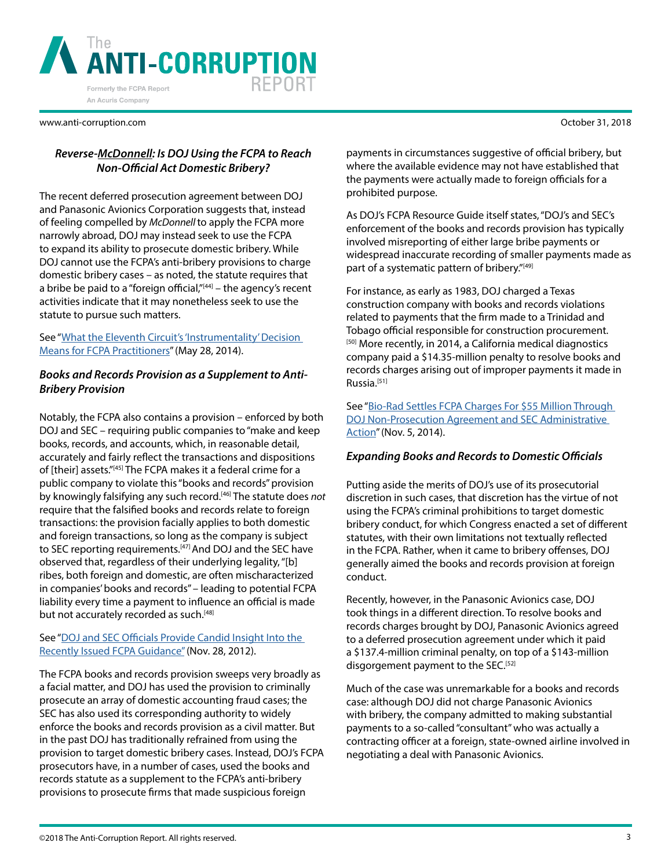

# *Reverse-McDonnell: Is DOJ Using the FCPA to Reach Non-Official Act Domestic Bribery?*

The recent deferred prosecution agreement between DOJ and Panasonic Avionics Corporation suggests that, instead of feeling compelled by *McDonnell* to apply the FCPA more narrowly abroad, DOJ may instead seek to use the FCPA to expand its ability to prosecute domestic bribery. While DOJ cannot use the FCPA's anti-bribery provisions to charge domestic bribery cases – as noted, the statute requires that a bribe be paid to a "foreign official, $n<sup>[44]</sup> -$  the agency's recent activities indicate that it may nonetheless seek to use the statute to pursue such matters.

See "[What the Eleventh Circuit's 'Instrumentality' Decision](https://www.anti-corruption.com/article/1894)  [Means for FCPA Practitioners"](https://www.anti-corruption.com/article/1894) (May 28, 2014).

# *Books and Records Provision as a Supplement to Anti-Bribery Provision*

Notably, the FCPA also contains a provision – enforced by both DOJ and SEC – requiring public companies to "make and keep books, records, and accounts, which, in reasonable detail, accurately and fairly reflect the transactions and dispositions of [their] assets."[45] The FCPA makes it a federal crime for a public company to violate this "books and records" provision by knowingly falsifying any such record.[46] The statute does *not*  require that the falsified books and records relate to foreign transactions: the provision facially applies to both domestic and foreign transactions, so long as the company is subject to SEC reporting requirements.<sup>[47]</sup> And DOJ and the SEC have observed that, regardless of their underlying legality, "[b] ribes, both foreign and domestic, are often mischaracterized in companies' books and records" – leading to potential FCPA liability every time a payment to influence an official is made but not accurately recorded as such.<sup>[48]</sup>

### See "[DOJ and SEC Officials Provide Candid Insight Into the](https://www.anti-corruption.com/article/1583)  [Recently Issued FCPA Guidance"](https://www.anti-corruption.com/article/1583) (Nov. 28, 2012).

The FCPA books and records provision sweeps very broadly as a facial matter, and DOJ has used the provision to criminally prosecute an array of domestic accounting fraud cases; the SEC has also used its corresponding authority to widely enforce the books and records provision as a civil matter. But in the past DOJ has traditionally refrained from using the provision to target domestic bribery cases. Instead, DOJ's FCPA prosecutors have, in a number of cases, used the books and records statute as a supplement to the FCPA's anti-bribery provisions to prosecute firms that made suspicious foreign

October 31, 2018

payments in circumstances suggestive of official bribery, but where the available evidence may not have established that the payments were actually made to foreign officials for a prohibited purpose.

As DOJ's FCPA Resource Guide itself states, "DOJ's and SEC's enforcement of the books and records provision has typically involved misreporting of either large bribe payments or widespread inaccurate recording of smaller payments made as part of a systematic pattern of bribery."[49]

For instance, as early as 1983, DOJ charged a Texas construction company with books and records violations related to payments that the firm made to a Trinidad and Tobago official responsible for construction procurement. [50] More recently, in 2014, a California medical diagnostics company paid a \$14.35-million penalty to resolve books and records charges arising out of improper payments it made in Russia.[51]

See "Bio-Rad Settles FCPA Charges For \$55 Million Through [DOJ Non-Prosecution Agreement and SEC Administrative](https://www.anti-corruption.com/article/1991)  [Action"](https://www.anti-corruption.com/article/1991) (Nov. 5, 2014).

### *Expanding Books and Records to Domestic Officials*

Putting aside the merits of DOJ's use of its prosecutorial discretion in such cases, that discretion has the virtue of not using the FCPA's criminal prohibitions to target domestic bribery conduct, for which Congress enacted a set of different statutes, with their own limitations not textually reflected in the FCPA. Rather, when it came to bribery offenses, DOJ generally aimed the books and records provision at foreign conduct.

Recently, however, in the Panasonic Avionics case, DOJ took things in a different direction. To resolve books and records charges brought by DOJ, Panasonic Avionics agreed to a deferred prosecution agreement under which it paid a \$137.4-million criminal penalty, on top of a \$143-million disgorgement payment to the SEC.<sup>[52]</sup>

Much of the case was unremarkable for a books and records case: although DOJ did not charge Panasonic Avionics with bribery, the company admitted to making substantial payments to a so-called "consultant" who was actually a contracting officer at a foreign, state-owned airline involved in negotiating a deal with Panasonic Avionics.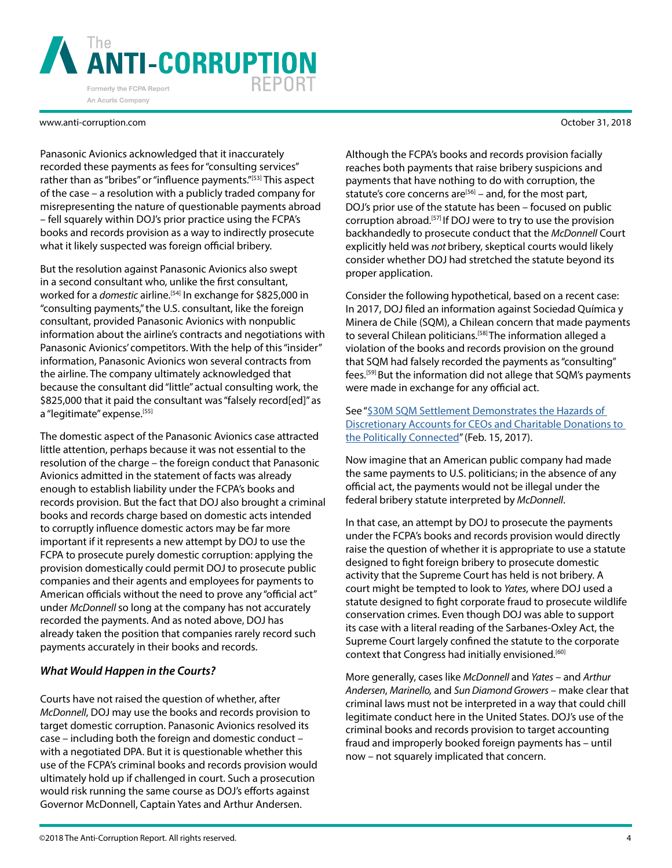

Panasonic Avionics acknowledged that it inaccurately recorded these payments as fees for "consulting services" rather than as "bribes" or "influence payments."<sup>[53]</sup> This aspect of the case – a resolution with a publicly traded company for misrepresenting the nature of questionable payments abroad – fell squarely within DOJ's prior practice using the FCPA's books and records provision as a way to indirectly prosecute what it likely suspected was foreign official bribery.

But the resolution against Panasonic Avionics also swept in a second consultant who, unlike the first consultant, worked for a *domestic* airline.<sup>[54]</sup> In exchange for \$825,000 in "consulting payments," the U.S. consultant, like the foreign consultant, provided Panasonic Avionics with nonpublic information about the airline's contracts and negotiations with Panasonic Avionics' competitors. With the help of this "insider" information, Panasonic Avionics won several contracts from the airline. The company ultimately acknowledged that because the consultant did "little" actual consulting work, the \$825,000 that it paid the consultant was "falsely record[ed]" as a "legitimate" expense.<sup>[55]</sup>

The domestic aspect of the Panasonic Avionics case attracted little attention, perhaps because it was not essential to the resolution of the charge – the foreign conduct that Panasonic Avionics admitted in the statement of facts was already enough to establish liability under the FCPA's books and records provision. But the fact that DOJ also brought a criminal books and records charge based on domestic acts intended to corruptly influence domestic actors may be far more important if it represents a new attempt by DOJ to use the FCPA to prosecute purely domestic corruption: applying the provision domestically could permit DOJ to prosecute public companies and their agents and employees for payments to American officials without the need to prove any "official act" under *McDonnell* so long at the company has not accurately recorded the payments. And as noted above, DOJ has already taken the position that companies rarely record such payments accurately in their books and records.

### *What Would Happen in the Courts?*

Courts have not raised the question of whether, after *McDonnell*, DOJ may use the books and records provision to target domestic corruption. Panasonic Avionics resolved its case – including both the foreign and domestic conduct – with a negotiated DPA. But it is questionable whether this use of the FCPA's criminal books and records provision would ultimately hold up if challenged in court. Such a prosecution would risk running the same course as DOJ's efforts against Governor McDonnell, Captain Yates and Arthur Andersen.

Although the FCPA's books and records provision facially reaches both payments that raise bribery suspicions and payments that have nothing to do with corruption, the statute's core concerns are<sup>[56]</sup> – and, for the most part, DOJ's prior use of the statute has been – focused on public corruption abroad.[57] If DOJ were to try to use the provision backhandedly to prosecute conduct that the *McDonnell* Court explicitly held was *not* bribery, skeptical courts would likely consider whether DOJ had stretched the statute beyond its proper application.

Consider the following hypothetical, based on a recent case: In 2017, DOJ filed an information against Sociedad Química y Minera de Chile (SQM), a Chilean concern that made payments to several Chilean politicians.<sup>[58]</sup> The information alleged a violation of the books and records provision on the ground that SQM had falsely recorded the payments as "consulting" fees.[59] But the information did not allege that SQM's payments were made in exchange for any official act.

See "\$30M SQM Settlement Demonstrates the Hazards of [Discretionary Accounts for CEOs and Charitable Donations to](https://www.anti-corruption.com/article/2482)  [the Politically Connected"](https://www.anti-corruption.com/article/2482) (Feb. 15, 2017).

Now imagine that an American public company had made the same payments to U.S. politicians; in the absence of any official act, the payments would not be illegal under the federal bribery statute interpreted by *McDonnell*.

In that case, an attempt by DOJ to prosecute the payments under the FCPA's books and records provision would directly raise the question of whether it is appropriate to use a statute designed to fight foreign bribery to prosecute domestic activity that the Supreme Court has held is not bribery. A court might be tempted to look to *Yates*, where DOJ used a statute designed to fight corporate fraud to prosecute wildlife conservation crimes. Even though DOJ was able to support its case with a literal reading of the Sarbanes-Oxley Act, the Supreme Court largely confined the statute to the corporate context that Congress had initially envisioned.[60]

More generally, cases like *McDonnell* and *Yates* – and *Arthur Andersen*, *Marinello,* and *Sun Diamond Growers* – make clear that criminal laws must not be interpreted in a way that could chill legitimate conduct here in the United States. DOJ's use of the criminal books and records provision to target accounting fraud and improperly booked foreign payments has – until now – not squarely implicated that concern.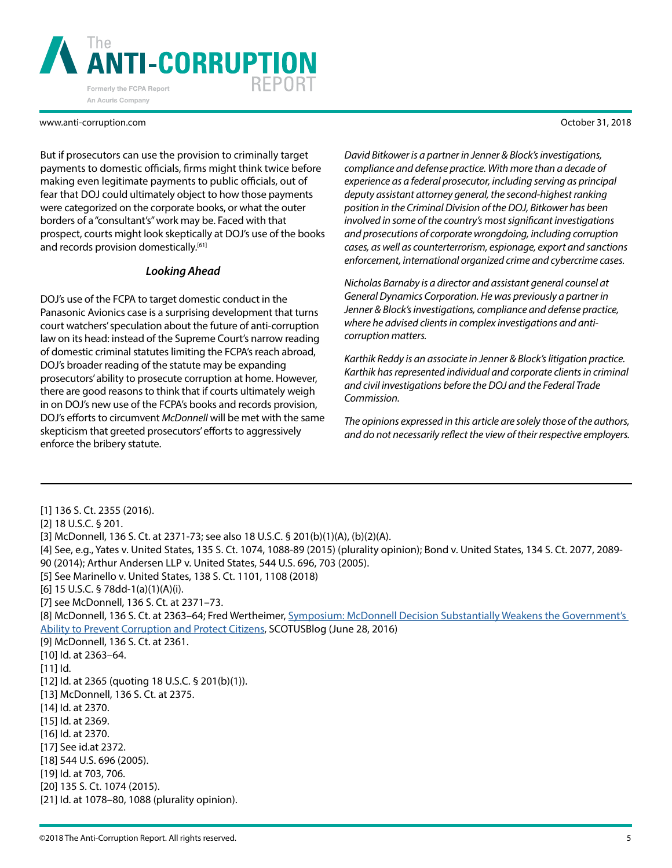

But if prosecutors can use the provision to criminally target payments to domestic officials, firms might think twice before making even legitimate payments to public officials, out of fear that DOJ could ultimately object to how those payments were categorized on the corporate books, or what the outer borders of a "consultant's" work may be. Faced with that prospect, courts might look skeptically at DOJ's use of the books and records provision domestically.<sup>[61]</sup>

#### *Looking Ahead*

DOJ's use of the FCPA to target domestic conduct in the Panasonic Avionics case is a surprising development that turns court watchers' speculation about the future of anti-corruption law on its head: instead of the Supreme Court's narrow reading of domestic criminal statutes limiting the FCPA's reach abroad, DOJ's broader reading of the statute may be expanding prosecutors' ability to prosecute corruption at home. However, there are good reasons to think that if courts ultimately weigh in on DOJ's new use of the FCPA's books and records provision, DOJ's efforts to circumvent *McDonnell* will be met with the same skepticism that greeted prosecutors' efforts to aggressively enforce the bribery statute.

*David Bitkower is a partner in Jenner & Block's investigations, compliance and defense practice. With more than a decade of experience as a federal prosecutor, including serving as principal deputy assistant attorney general, the second-highest ranking position in the Criminal Division of the DOJ, Bitkower has been involved in some of the country's most significant investigations and prosecutions of corporate wrongdoing, including corruption cases, as well as counterterrorism, espionage, export and sanctions enforcement, international organized crime and cybercrime cases.*

*Nicholas Barnaby is a director and assistant general counsel at General Dynamics Corporation. He was previously a partner in Jenner & Block's investigations, compliance and defense practice, where he advised clients in complex investigations and anticorruption matters.*

*Karthik Reddy is an associate in Jenner & Block's litigation practice. Karthik has represented individual and corporate clients in criminal and civil investigations before the DOJ and the Federal Trade Commission.*

*The opinions expressed in this article are solely those of the authors, and do not necessarily reflect the view of their respective employers.*

[1] 136 S. Ct. 2355 (2016).

[2] 18 U.S.C. § 201.

- [4] See, e.g., Yates v. United States, 135 S. Ct. 1074, 1088-89 (2015) (plurality opinion); Bond v. United States, 134 S. Ct. 2077, 2089- 90 (2014); Arthur Andersen LLP v. United States, 544 U.S. 696, 703 (2005).
- [5] See Marinello v. United States, 138 S. Ct. 1101, 1108 (2018)

[6] 15 U.S.C. § 78dd-1(a)(1)(A)(i).

[7] see McDonnell, 136 S. Ct. at 2371–73.

[8] McDonnell, 136 S. Ct. at 2363–64; Fred Wertheimer, [Symposium: McDonnell Decision Substantially Weakens the Government's](http://www.scotusblog.com/2016/06/symposium-mcdonnell-decision-substantially-weakens-the-governments-bbility-to-prevent-corruption-and-protect-citizens/)  [Ability to Prevent Corruption and Protect Citizens](http://www.scotusblog.com/2016/06/symposium-mcdonnell-decision-substantially-weakens-the-governments-bbility-to-prevent-corruption-and-protect-citizens/), SCOTUSBlog (June 28, 2016)

[9] McDonnell, 136 S. Ct. at 2361.

[10] Id. at 2363–64.

[11] Id.

[12] Id. at 2365 (quoting 18 U.S.C. § 201(b)(1)).

[13] McDonnell, 136 S. Ct. at 2375.

[14] Id. at 2370.

[15] Id. at 2369.

[16] Id. at 2370.

[17] See id.at 2372.

[18] 544 U.S. 696 (2005).

[19] Id. at 703, 706.

[20] 135 S. Ct. 1074 (2015).

[21] Id. at 1078–80, 1088 (plurality opinion).

<sup>[3]</sup> McDonnell, 136 S. Ct. at 2371-73; see also 18 U.S.C. § 201(b)(1)(A), (b)(2)(A).